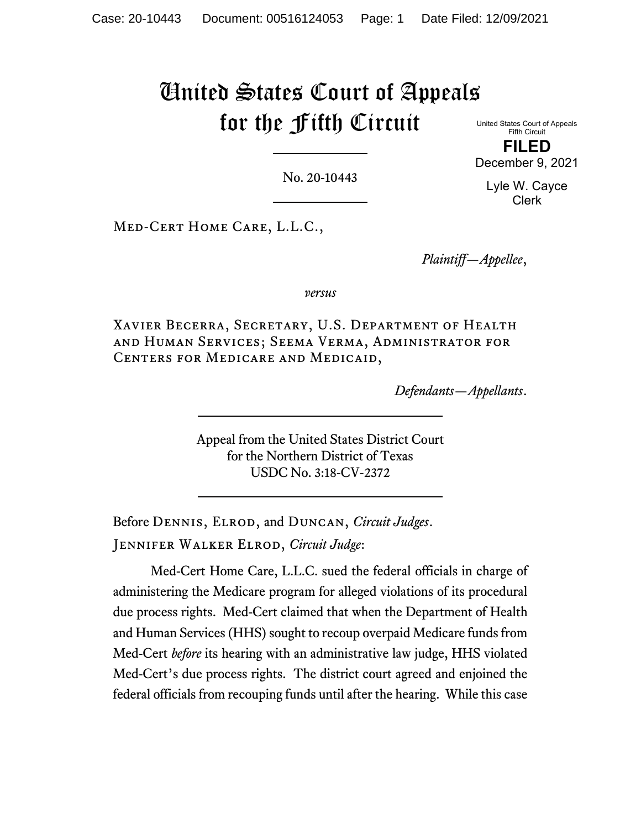# United States Court of Appeals for the Fifth Circuit

United States Court of Appeals Fifth Circuit **FILED**

December 9, 2021

No. 20-10443

Lyle W. Cayce Clerk

Med-Cert Home Care, L.L.C.,

*Plaintiff—Appellee*,

*versus*

Xavier Becerra, Secretary, U.S. Department of Health and Human Services; Seema Verma, Administrator for Centers for Medicare and Medicaid,

*Defendants—Appellants*.

Appeal from the United States District Court for the Northern District of Texas USDC No. 3:18-CV-2372

Before Dennis, Elrod, and Duncan, *Circuit Judges*. Jennifer Walker Elrod, *Circuit Judge*:

Med-Cert Home Care, L.L.C. sued the federal officials in charge of administering the Medicare program for alleged violations of its procedural due process rights. Med-Cert claimed that when the Department of Health and Human Services (HHS) sought to recoup overpaid Medicare funds from Med-Cert *before* its hearing with an administrative law judge, HHS violated Med-Cert's due process rights. The district court agreed and enjoined the federal officials from recouping funds until after the hearing. While this case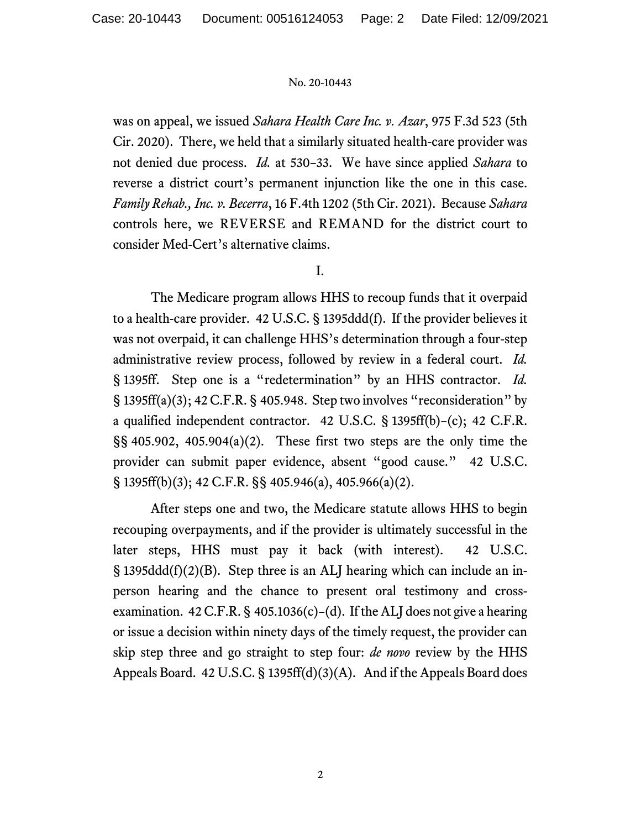was on appeal, we issued *Sahara Health Care Inc. v. Azar*, 975 F.3d 523 (5th Cir. 2020). There, we held that a similarly situated health-care provider was not denied due process. *Id.* at 530–33. We have since applied *Sahara* to reverse a district court's permanent injunction like the one in this case. *Family Rehab., Inc. v. Becerra*, 16 F.4th 1202 (5th Cir. 2021). Because *Sahara* controls here, we REVERSE and REMAND for the district court to consider Med-Cert's alternative claims.

## I.

The Medicare program allows HHS to recoup funds that it overpaid to a health-care provider. 42 U.S.C. § 1395ddd(f). If the provider believes it was not overpaid, it can challenge HHS's determination through a four-step administrative review process, followed by review in a federal court. *Id.* § 1395ff. Step one is a "redetermination" by an HHS contractor. *Id.* § 1395ff(a)(3); 42 C.F.R. § 405.948. Step two involves "reconsideration" by a qualified independent contractor. 42 U.S.C. § 1395ff(b)–(c); 42 C.F.R.  $\S$ § 405.902, 405.904(a)(2). These first two steps are the only time the provider can submit paper evidence, absent "good cause." 42 U.S.C. § 1395ff(b)(3); 42 C.F.R. §§ 405.946(a), 405.966(a)(2).

After steps one and two, the Medicare statute allows HHS to begin recouping overpayments, and if the provider is ultimately successful in the later steps, HHS must pay it back (with interest). 42 U.S.C. § 1395ddd(f)(2)(B). Step three is an ALJ hearing which can include an inperson hearing and the chance to present oral testimony and crossexamination.  $42 \text{ C.F.R.}$  §  $405.1036(c) - (d)$ . If the ALJ does not give a hearing or issue a decision within ninety days of the timely request, the provider can skip step three and go straight to step four: *de novo* review by the HHS Appeals Board. 42 U.S.C. § 1395ff(d)(3)(A). And if the Appeals Board does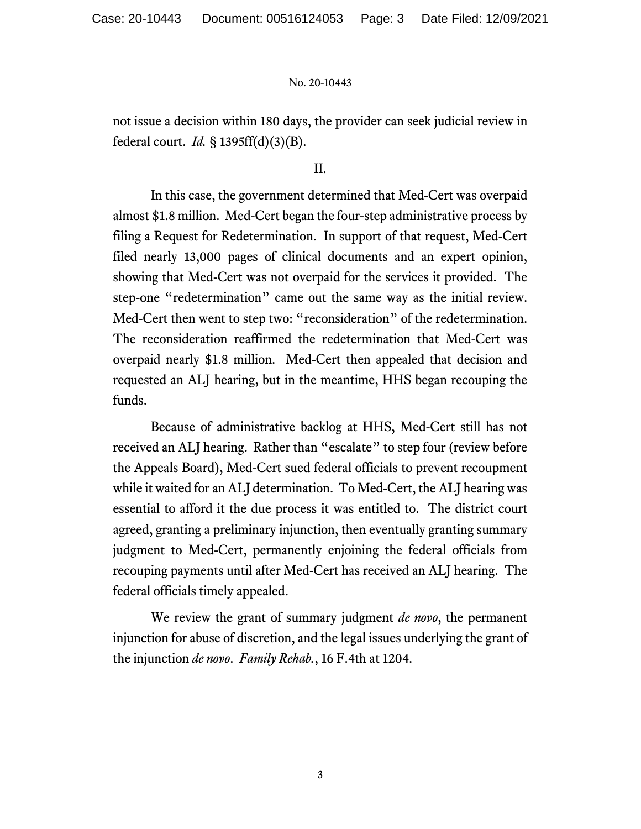not issue a decision within 180 days, the provider can seek judicial review in federal court. *Id.* § 1395ff(d)(3)(B).

## II.

In this case, the government determined that Med-Cert was overpaid almost \$1.8 million. Med-Cert began the four-step administrative process by filing a Request for Redetermination. In support of that request, Med-Cert filed nearly 13,000 pages of clinical documents and an expert opinion, showing that Med-Cert was not overpaid for the services it provided. The step-one "redetermination" came out the same way as the initial review. Med-Cert then went to step two: "reconsideration" of the redetermination. The reconsideration reaffirmed the redetermination that Med-Cert was overpaid nearly \$1.8 million. Med-Cert then appealed that decision and requested an ALJ hearing, but in the meantime, HHS began recouping the funds.

Because of administrative backlog at HHS, Med-Cert still has not received an ALJ hearing. Rather than "escalate" to step four (review before the Appeals Board), Med-Cert sued federal officials to prevent recoupment while it waited for an ALJ determination. To Med-Cert, the ALJ hearing was essential to afford it the due process it was entitled to. The district court agreed, granting a preliminary injunction, then eventually granting summary judgment to Med-Cert, permanently enjoining the federal officials from recouping payments until after Med-Cert has received an ALJ hearing. The federal officials timely appealed.

We review the grant of summary judgment *de novo*, the permanent injunction for abuse of discretion, and the legal issues underlying the grant of the injunction *de novo*. *Family Rehab.*, 16 F.4th at 1204.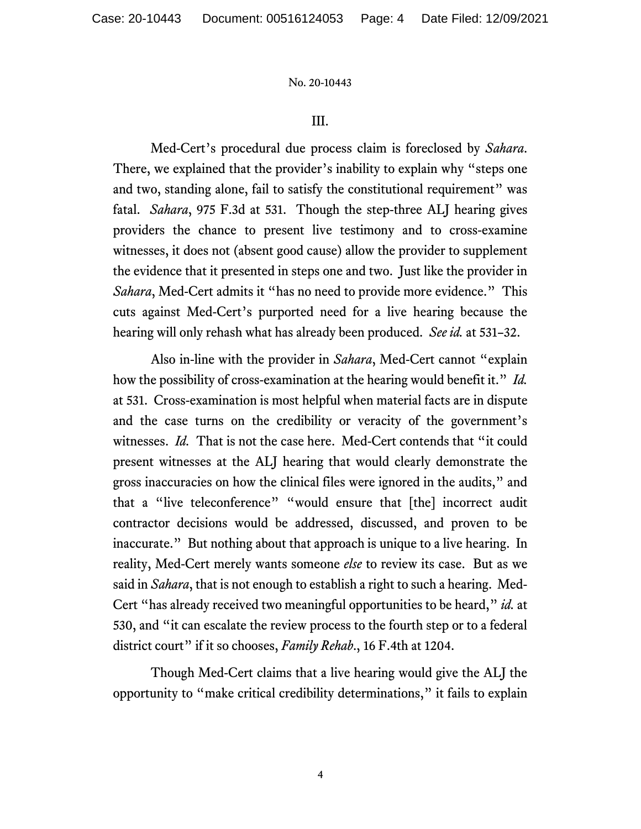### III.

Med-Cert's procedural due process claim is foreclosed by *Sahara*. There, we explained that the provider's inability to explain why "steps one and two, standing alone, fail to satisfy the constitutional requirement" was fatal. *Sahara*, 975 F.3d at 531. Though the step-three ALJ hearing gives providers the chance to present live testimony and to cross-examine witnesses, it does not (absent good cause) allow the provider to supplement the evidence that it presented in steps one and two. Just like the provider in *Sahara*, Med-Cert admits it "has no need to provide more evidence." This cuts against Med-Cert's purported need for a live hearing because the hearing will only rehash what has already been produced. *See id.* at 531–32.

Also in-line with the provider in *Sahara*, Med-Cert cannot "explain how the possibility of cross-examination at the hearing would benefit it." *Id.* at 531. Cross-examination is most helpful when material facts are in dispute and the case turns on the credibility or veracity of the government's witnesses. *Id.* That is not the case here. Med-Cert contends that "it could present witnesses at the ALJ hearing that would clearly demonstrate the gross inaccuracies on how the clinical files were ignored in the audits," and that a "live teleconference" "would ensure that [the] incorrect audit contractor decisions would be addressed, discussed, and proven to be inaccurate." But nothing about that approach is unique to a live hearing. In reality, Med-Cert merely wants someone *else* to review its case. But as we said in *Sahara*, that is not enough to establish a right to such a hearing. Med-Cert "has already received two meaningful opportunities to be heard," *id.* at 530, and "it can escalate the review process to the fourth step or to a federal district court" if it so chooses, *Family Rehab.*, 16 F.4th at 1204.

Though Med-Cert claims that a live hearing would give the ALJ the opportunity to "make critical credibility determinations," it fails to explain